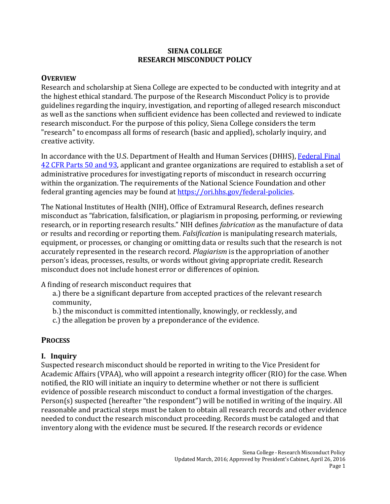#### **SIENA COLLEGE RESEARCH MISCONDUCT POLICY**

#### **OVERVIEW**

Research and scholarship at Siena College are expected to be conducted with integrity and at the highest ethical standard. The purpose of the Research Misconduct Policy is to provide guidelines regarding the inquiry, investigation, and reporting of alleged research misconduct as well as the sanctions when sufficient evidence has been collected and reviewed to indicate research misconduct. For the purpose of this policy, Siena College considers the term "research" to encompass all forms of research (basic and applied), scholarly inquiry, and creative activity.

In accordance with the U.S. Department of Health and Human Services (DHHS), [Federal](http://ori.dhhs.gov/documents/42_cfr_parts_50_and_93_2005.pdf) Final [42 CFR](http://ori.dhhs.gov/documents/42_cfr_parts_50_and_93_2005.pdf) Parts 50 and 93, applicant and grantee organizations are required to establish a set of administrative procedures for investigating reports of misconduct in research occurring within the organization. The requirements of the National Science Foundation and other federal granting agencies may be found at [https://ori.hhs.gov/federal-policies.](https://ori.hhs.gov/federal-policies)

The National Institutes of Health (NIH), Office of Extramural Research, defines research misconduct as "fabrication, falsification, or plagiarism in proposing, performing, or reviewing research, or in reporting research results." NIH defines *fabrication* as the manufacture of data or results and recording or reporting them. *Falsification* is manipulating research materials, equipment, or processes, or changing or omitting data or results such that the research is not accurately represented in the research record. *Plagiarism* is the appropriation of another person's ideas, processes, results, or words without giving appropriate credit. Research misconduct does not include honest error or differences of opinion.

A finding of research misconduct requires that

a.) there be a significant departure from accepted practices of the relevant research community,

- b.) the misconduct is committed intentionally, knowingly, or recklessly, and
- c.) the allegation be proven by a preponderance of the evidence.

# **PROCESS**

# **I. Inquiry**

Suspected research misconduct should be reported in writing to the Vice President for Academic Affairs (VPAA), who will appoint a research integrity officer (RIO) for the case. When notified, the RIO will initiate an inquiry to determine whether or not there is sufficient evidence of possible research misconduct to conduct a formal investigation of the charges. Person(s) suspected (hereafter "the respondent") will be notified in writing of the inquiry. All reasonable and practical steps must be taken to obtain all research records and other evidence needed to conduct the research misconduct proceeding. Records must be cataloged and that inventory along with the evidence must be secured. If the research records or evidence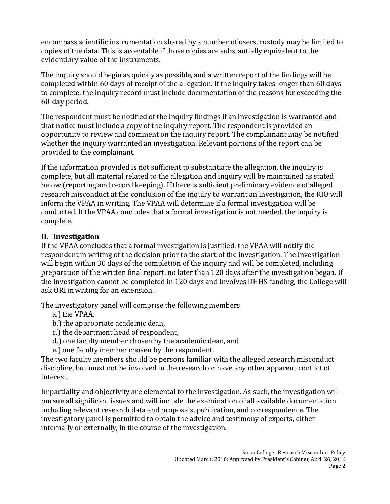encompass scientific instrumentation shared by a number of users, custody may be limited to copies of the data. This is acceptable if those copies are substantially equivalent to the evidentiary value of the instruments.

The inquiry should begin as quickly as possible, and a written report of the findings will be completed within 60 days of receipt of the allegation. If the inquiry takes longer than 60 days to complete, the inquiry record must include documentation of the reasons for exceeding the 60-day period.

The respondent must be notified of the inquiry findings if an investigation is warranted and that notice must include a copy of the inquiry report. The respondent is provided an opportunity to review and comment on the inquiry report. The complainant may be notified whether the inquiry warranted an investigation. Relevant portions of the report can be provided to the complainant.

If the information provided is not sufficient to substantiate the allegation, the inquiry is complete, but all material related to the allegation and inquiry will be maintained as stated below (reporting and record keeping). If there is sufficient preliminary evidence of alleged research misconduct at the conclusion of the inquiry to warrant an investigation, the RIO will inform the VPAA in writing. The VPAA will determine if a formal investigation will be conducted. If the VPAA concludes that a formal investigation is not needed, the inquiry is complete.

# **II. Investigation**

If the VPAA concludes that a formal investigation is justified, the VPAA will notify the respondent in writing of the decision prior to the start of the investigation. The investigation will begin within 30 days of the completion of the inquiry and will be completed, including preparation of the written final report, no later than 120 days after the investigation began. If the investigation cannot be completed in 120 days and involves DHHS funding, the College will ask ORI in writing for an extension.

The investigatory panel will comprise the following members

- a.) the VPAA,
- b.) the appropriate academic dean,
- c.) the department head of respondent,
- d.) one faculty member chosen by the academic dean, and
- e.) one faculty member chosen by the respondent.

The two faculty members should be persons familiar with the alleged research misconduct discipline, but must not be involved in the research or have any other apparent conflict of interest.

Impartiality and objectivity are elemental to the investigation. As such, the investigation will pursue all significant issues and will include the examination of all available documentation including relevant research data and proposals, publication, and correspondence. The investigatory panel is permitted to obtain the advice and testimony of experts, either internally or externally, in the course of the investigation.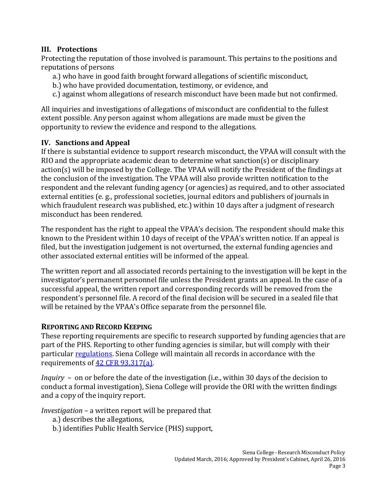# **III. Protections**

Protecting the reputation of those involved is paramount. This pertains to the positions and reputations of persons

- a.) who have in good faith brought forward allegations of scientific misconduct,
- b.) who have provided documentation, testimony, or evidence, and
- c.) against whom allegations of research misconduct have been made but not confirmed.

All inquiries and investigations of allegations of misconduct are confidential to the fullest extent possible. Any person against whom allegations are made must be given the opportunity to review the evidence and respond to the allegations.

### **IV. Sanctions and Appeal**

If there is substantial evidence to support research misconduct, the VPAA will consult with the RIO and the appropriate academic dean to determine what sanction(s) or disciplinary action(s) will be imposed by the College. The VPAA will notify the President of the findings at the conclusion of the investigation. The VPAA will also provide written notification to the respondent and the relevant funding agency (or agencies) as required, and to other associated external entities (e. g., professional societies, journal editors and publishers of journals in which fraudulent research was published, etc.) within 10 days after a judgment of research misconduct has been rendered.

The respondent has the right to appeal the VPAA's decision. The respondent should make this known to the President within 10 days of receipt of the VPAA's written notice. If an appeal is filed, but the investigation judgement is not overturned, the external funding agencies and other associated external entities will be informed of the appeal.

The written report and all associated records pertaining to the investigation will be kept in the investigator's permanent personnel file unless the President grants an appeal. In the case of a successful appeal, the written report and corresponding records will be removed from the respondent's personnel file. A record of the final decision will be secured in a sealed file that will be retained by the VPAA's Office separate from the personnel file.

#### **REPORTING AND RECORD KEEPING**

These reporting requirements are specific to research supported by funding agencies that are part of the PHS. Reporting to other funding agencies is similar, but will comply with their particular [regulations.](https://ori.hhs.gov/federal-policies) Siena College will maintain all records in accordance with the requirements of [42 CFR 93.317\(a\).](http://www.ecfr.gov/cgi-bin/text-idx?SID=d01c0fa9efb4f113871a40f1ed7207ec&mc=true&node=se42.1.93_1317&rgn=div8)

*Inquiry* – on or before the date of the investigation (i.e., within 30 days of the decision to conduct a formal investigation), Siena College will provide the ORI with the written findings and a copy of the inquiry report.

*Investigation* – a written report will be prepared that

- a.) describes the allegations,
- b.) identifies Public Health Service (PHS) support,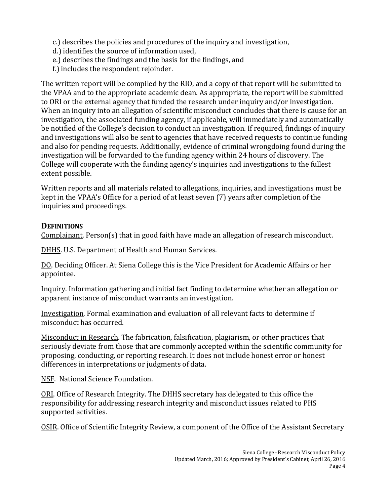- c.) describes the policies and procedures of the inquiry and investigation,
- d.) identifies the source of information used,
- e.) describes the findings and the basis for the findings, and
- f.) includes the respondent rejoinder.

The written report will be compiled by the RIO, and a copy of that report will be submitted to the VPAA and to the appropriate academic dean. As appropriate, the report will be submitted to ORI or the external agency that funded the research under inquiry and/or investigation. When an inquiry into an allegation of scientific misconduct concludes that there is cause for an investigation, the associated funding agency, if applicable, will immediately and automatically be notified of the College's decision to conduct an investigation. If required, findings of inquiry and investigations will also be sent to agencies that have received requests to continue funding and also for pending requests. Additionally, evidence of criminal wrongdoing found during the investigation will be forwarded to the funding agency within 24 hours of discovery. The College will cooperate with the funding agency's inquiries and investigations to the fullest extent possible.

Written reports and all materials related to allegations, inquiries, and investigations must be kept in the VPAA's Office for a period of at least seven (7) years after completion of the inquiries and proceedings.

### **DEFINITIONS**

Complainant. Person(s) that in good faith have made an allegation of research misconduct.

DHHS. U.S. Department of Health and Human Services.

DO. Deciding Officer. At Siena College this is the Vice President for Academic Affairs or her appointee.

Inquiry. Information gathering and initial fact finding to determine whether an allegation or apparent instance of misconduct warrants an investigation.

Investigation. Formal examination and evaluation of all relevant facts to determine if misconduct has occurred.

Misconduct in Research. The fabrication, falsification, plagiarism, or other practices that seriously deviate from those that are commonly accepted within the scientific community for proposing, conducting, or reporting research. It does not include honest error or honest differences in interpretations or judgments of data.

NSF. National Science Foundation.

ORI. Office of Research Integrity. The DHHS secretary has delegated to this office the responsibility for addressing research integrity and misconduct issues related to PHS supported activities.

OSIR. Office of Scientific Integrity Review, a component of the Office of the Assistant Secretary